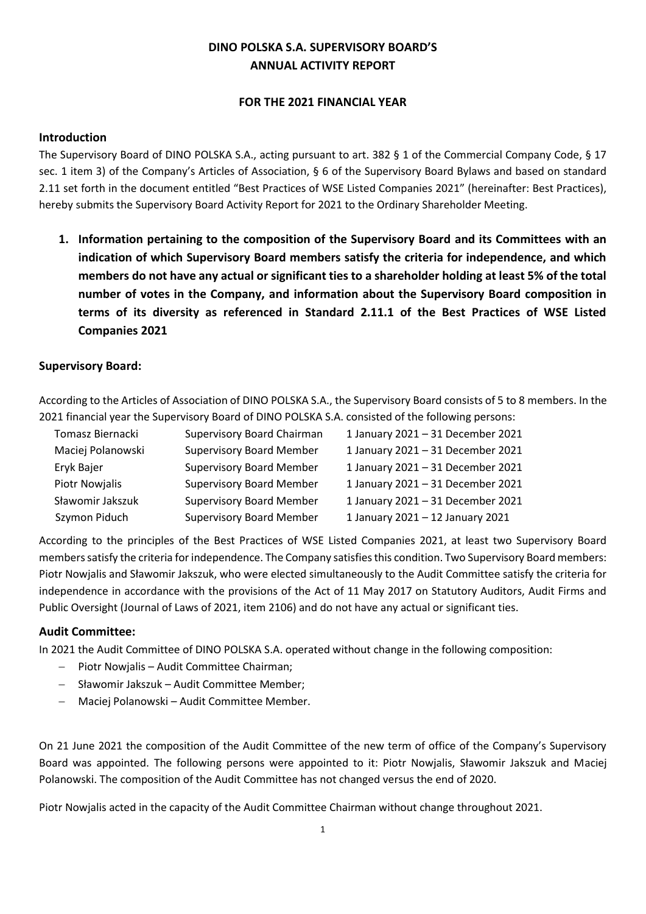## **DINO POLSKA S.A. SUPERVISORY BOARD'S ANNUAL ACTIVITY REPORT**

## **FOR THE 2021 FINANCIAL YEAR**

#### **Introduction**

The Supervisory Board of DINO POLSKA S.A., acting pursuant to art. 382 § 1 of the Commercial Company Code, § 17 sec. 1 item 3) of the Company's Articles of Association, § 6 of the Supervisory Board Bylaws and based on standard 2.11 set forth in the document entitled "Best Practices of WSE Listed Companies 2021" (hereinafter: Best Practices), hereby submits the Supervisory Board Activity Report for 2021 to the Ordinary Shareholder Meeting.

**1. Information pertaining to the composition of the Supervisory Board and its Committees with an indication of which Supervisory Board members satisfy the criteria for independence, and which members do not have any actual or significant ties to a shareholder holding at least 5% of the total number of votes in the Company, and information about the Supervisory Board composition in terms of its diversity as referenced in Standard 2.11.1 of the Best Practices of WSE Listed Companies 2021**

## **Supervisory Board:**

According to the Articles of Association of DINO POLSKA S.A., the Supervisory Board consists of 5 to 8 members. In the 2021 financial year the Supervisory Board of DINO POLSKA S.A. consisted of the following persons:

| Tomasz Biernacki      | Supervisory Board Chairman      | 1 January 2021 - 31 December 2021 |
|-----------------------|---------------------------------|-----------------------------------|
| Maciej Polanowski     | <b>Supervisory Board Member</b> | 1 January 2021 - 31 December 2021 |
| Eryk Bajer            | <b>Supervisory Board Member</b> | 1 January 2021 - 31 December 2021 |
| <b>Piotr Nowjalis</b> | <b>Supervisory Board Member</b> | 1 January 2021 - 31 December 2021 |
| Sławomir Jakszuk      | <b>Supervisory Board Member</b> | 1 January 2021 - 31 December 2021 |
| Szymon Piduch         | <b>Supervisory Board Member</b> | 1 January 2021 - 12 January 2021  |

According to the principles of the Best Practices of WSE Listed Companies 2021, at least two Supervisory Board members satisfy the criteria for independence. The Company satisfies this condition. Two Supervisory Board members: Piotr Nowjalis and Sławomir Jakszuk, who were elected simultaneously to the Audit Committee satisfy the criteria for independence in accordance with the provisions of the Act of 11 May 2017 on Statutory Auditors, Audit Firms and Public Oversight (Journal of Laws of 2021, item 2106) and do not have any actual or significant ties.

#### **Audit Committee:**

In 2021 the Audit Committee of DINO POLSKA S.A. operated without change in the following composition:

- − Piotr Nowjalis Audit Committee Chairman;
- − Sławomir Jakszuk Audit Committee Member;
- − Maciej Polanowski Audit Committee Member.

On 21 June 2021 the composition of the Audit Committee of the new term of office of the Company's Supervisory Board was appointed. The following persons were appointed to it: Piotr Nowjalis, Sławomir Jakszuk and Maciej Polanowski. The composition of the Audit Committee has not changed versus the end of 2020.

Piotr Nowjalis acted in the capacity of the Audit Committee Chairman without change throughout 2021.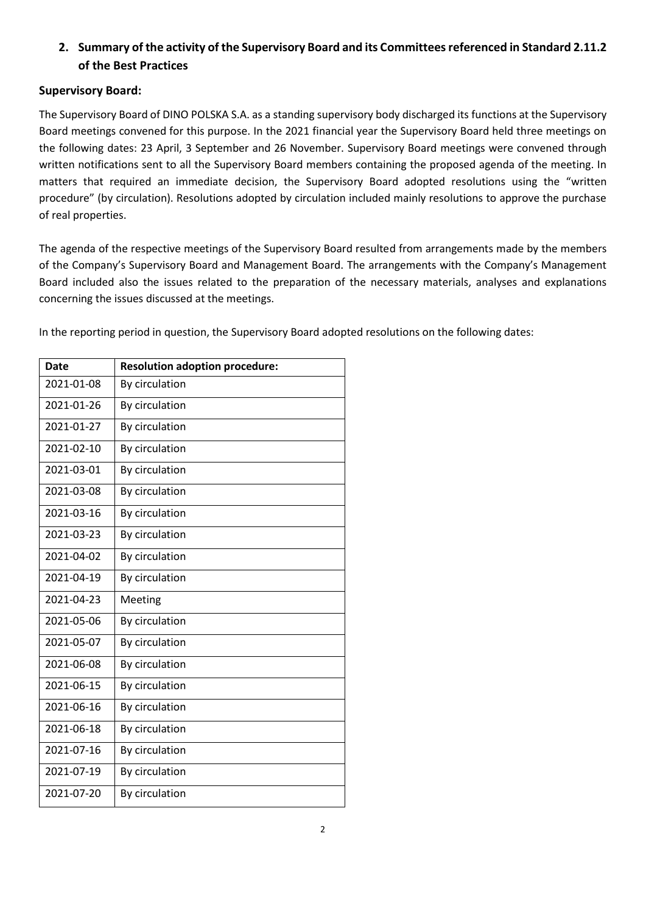# **2. Summary of the activity of the Supervisory Board and its Committees referenced in Standard 2.11.2 of the Best Practices**

## **Supervisory Board:**

The Supervisory Board of DINO POLSKA S.A. as a standing supervisory body discharged its functions at the Supervisory Board meetings convened for this purpose. In the 2021 financial year the Supervisory Board held three meetings on the following dates: 23 April, 3 September and 26 November. Supervisory Board meetings were convened through written notifications sent to all the Supervisory Board members containing the proposed agenda of the meeting. In matters that required an immediate decision, the Supervisory Board adopted resolutions using the "written procedure" (by circulation). Resolutions adopted by circulation included mainly resolutions to approve the purchase of real properties.

The agenda of the respective meetings of the Supervisory Board resulted from arrangements made by the members of the Company's Supervisory Board and Management Board. The arrangements with the Company's Management Board included also the issues related to the preparation of the necessary materials, analyses and explanations concerning the issues discussed at the meetings.

In the reporting period in question, the Supervisory Board adopted resolutions on the following dates:

| <b>Date</b> | <b>Resolution adoption procedure:</b> |
|-------------|---------------------------------------|
| 2021-01-08  | By circulation                        |
| 2021-01-26  | By circulation                        |
| 2021-01-27  | By circulation                        |
| 2021-02-10  | By circulation                        |
| 2021-03-01  | By circulation                        |
| 2021-03-08  | By circulation                        |
| 2021-03-16  | By circulation                        |
| 2021-03-23  | By circulation                        |
| 2021-04-02  | By circulation                        |
| 2021-04-19  | By circulation                        |
| 2021-04-23  | Meeting                               |
| 2021-05-06  | By circulation                        |
| 2021-05-07  | By circulation                        |
| 2021-06-08  | By circulation                        |
| 2021-06-15  | By circulation                        |
| 2021-06-16  | By circulation                        |
| 2021-06-18  | By circulation                        |
| 2021-07-16  | By circulation                        |
| 2021-07-19  | By circulation                        |
| 2021-07-20  | By circulation                        |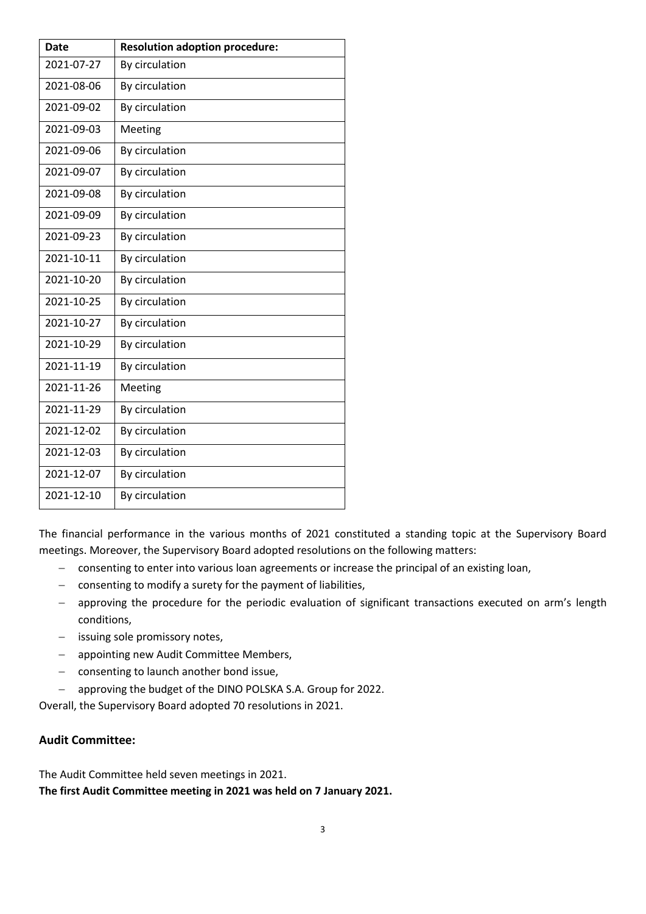| <b>Date</b> | <b>Resolution adoption procedure:</b> |
|-------------|---------------------------------------|
| 2021-07-27  | By circulation                        |
| 2021-08-06  | By circulation                        |
| 2021-09-02  | By circulation                        |
| 2021-09-03  | Meeting                               |
| 2021-09-06  | By circulation                        |
| 2021-09-07  | By circulation                        |
| 2021-09-08  | By circulation                        |
| 2021-09-09  | By circulation                        |
| 2021-09-23  | By circulation                        |
| 2021-10-11  | By circulation                        |
| 2021-10-20  | By circulation                        |
| 2021-10-25  | By circulation                        |
| 2021-10-27  | By circulation                        |
| 2021-10-29  | By circulation                        |
| 2021-11-19  | By circulation                        |
| 2021-11-26  | Meeting                               |
| 2021-11-29  | By circulation                        |
| 2021-12-02  | By circulation                        |
| 2021-12-03  | By circulation                        |
| 2021-12-07  | By circulation                        |
| 2021-12-10  | By circulation                        |

The financial performance in the various months of 2021 constituted a standing topic at the Supervisory Board meetings. Moreover, the Supervisory Board adopted resolutions on the following matters:

- − consenting to enter into various loan agreements or increase the principal of an existing loan,
- − consenting to modify a surety for the payment of liabilities,
- − approving the procedure for the periodic evaluation of significant transactions executed on arm's length conditions,
- − issuing sole promissory notes,
- − appointing new Audit Committee Members,
- − consenting to launch another bond issue,
- − approving the budget of the DINO POLSKA S.A. Group for 2022.

Overall, the Supervisory Board adopted 70 resolutions in 2021.

## **Audit Committee:**

The Audit Committee held seven meetings in 2021. **The first Audit Committee meeting in 2021 was held on 7 January 2021.**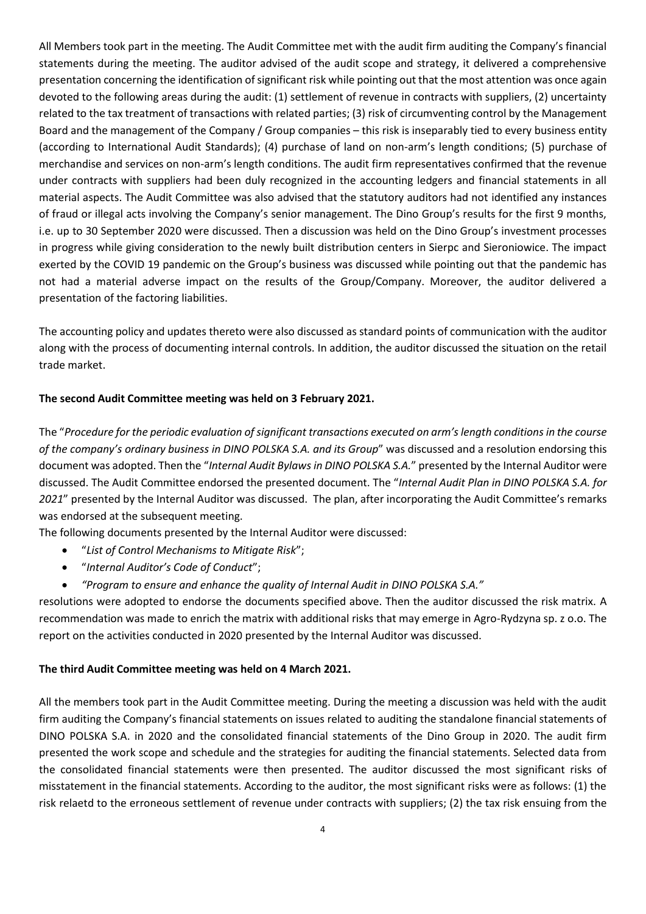All Members took part in the meeting. The Audit Committee met with the audit firm auditing the Company's financial statements during the meeting. The auditor advised of the audit scope and strategy, it delivered a comprehensive presentation concerning the identification of significant risk while pointing out that the most attention was once again devoted to the following areas during the audit: (1) settlement of revenue in contracts with suppliers, (2) uncertainty related to the tax treatment of transactions with related parties; (3) risk of circumventing control by the Management Board and the management of the Company / Group companies – this risk is inseparably tied to every business entity (according to International Audit Standards); (4) purchase of land on non-arm's length conditions; (5) purchase of merchandise and services on non-arm's length conditions. The audit firm representatives confirmed that the revenue under contracts with suppliers had been duly recognized in the accounting ledgers and financial statements in all material aspects. The Audit Committee was also advised that the statutory auditors had not identified any instances of fraud or illegal acts involving the Company's senior management. The Dino Group's results for the first 9 months, i.e. up to 30 September 2020 were discussed. Then a discussion was held on the Dino Group's investment processes in progress while giving consideration to the newly built distribution centers in Sierpc and Sieroniowice. The impact exerted by the COVID 19 pandemic on the Group's business was discussed while pointing out that the pandemic has not had a material adverse impact on the results of the Group/Company. Moreover, the auditor delivered a presentation of the factoring liabilities.

The accounting policy and updates thereto were also discussed as standard points of communication with the auditor along with the process of documenting internal controls. In addition, the auditor discussed the situation on the retail trade market.

#### **The second Audit Committee meeting was held on 3 February 2021.**

The "*Procedure for the periodic evaluation of significant transactions executed on arm's length conditions in the course of the company's ordinary business in DINO POLSKA S.A. and its Group*" was discussed and a resolution endorsing this document was adopted. Then the "*Internal Audit Bylaws in DINO POLSKA S.A.*" presented by the Internal Auditor were discussed. The Audit Committee endorsed the presented document. The "*Internal Audit Plan in DINO POLSKA S.A. for 2021*" presented by the Internal Auditor was discussed. The plan, after incorporating the Audit Committee's remarks was endorsed at the subsequent meeting.

The following documents presented by the Internal Auditor were discussed:

- "*List of Control Mechanisms to Mitigate Risk*";
- "*Internal Auditor's Code of Conduct*";
- *"Program to ensure and enhance the quality of Internal Audit in DINO POLSKA S.A."*

resolutions were adopted to endorse the documents specified above. Then the auditor discussed the risk matrix. A recommendation was made to enrich the matrix with additional risks that may emerge in Agro-Rydzyna sp. z o.o. The report on the activities conducted in 2020 presented by the Internal Auditor was discussed.

#### **The third Audit Committee meeting was held on 4 March 2021.**

All the members took part in the Audit Committee meeting. During the meeting a discussion was held with the audit firm auditing the Company's financial statements on issues related to auditing the standalone financial statements of DINO POLSKA S.A. in 2020 and the consolidated financial statements of the Dino Group in 2020. The audit firm presented the work scope and schedule and the strategies for auditing the financial statements. Selected data from the consolidated financial statements were then presented. The auditor discussed the most significant risks of misstatement in the financial statements. According to the auditor, the most significant risks were as follows: (1) the risk relaetd to the erroneous settlement of revenue under contracts with suppliers; (2) the tax risk ensuing from the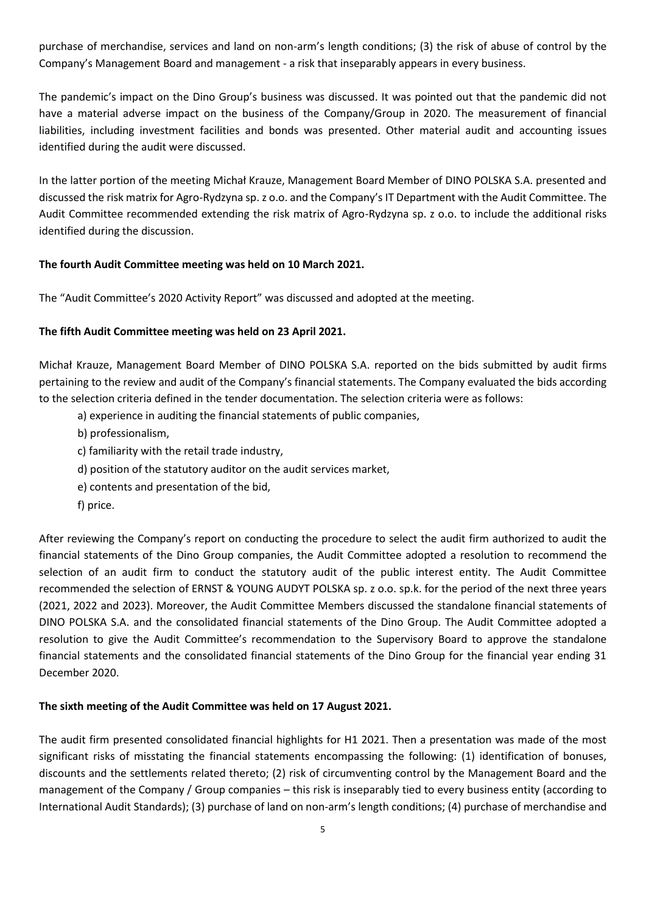purchase of merchandise, services and land on non-arm's length conditions; (3) the risk of abuse of control by the Company's Management Board and management - a risk that inseparably appears in every business.

The pandemic's impact on the Dino Group's business was discussed. It was pointed out that the pandemic did not have a material adverse impact on the business of the Company/Group in 2020. The measurement of financial liabilities, including investment facilities and bonds was presented. Other material audit and accounting issues identified during the audit were discussed.

In the latter portion of the meeting Michał Krauze, Management Board Member of DINO POLSKA S.A. presented and discussed the risk matrix for Agro-Rydzyna sp. z o.o. and the Company's IT Department with the Audit Committee. The Audit Committee recommended extending the risk matrix of Agro-Rydzyna sp. z o.o. to include the additional risks identified during the discussion.

#### **The fourth Audit Committee meeting was held on 10 March 2021.**

The "Audit Committee's 2020 Activity Report" was discussed and adopted at the meeting.

#### **The fifth Audit Committee meeting was held on 23 April 2021.**

Michał Krauze, Management Board Member of DINO POLSKA S.A. reported on the bids submitted by audit firms pertaining to the review and audit of the Company's financial statements. The Company evaluated the bids according to the selection criteria defined in the tender documentation. The selection criteria were as follows:

- a) experience in auditing the financial statements of public companies,
- b) professionalism,
- c) familiarity with the retail trade industry,
- d) position of the statutory auditor on the audit services market,
- e) contents and presentation of the bid,
- f) price.

After reviewing the Company's report on conducting the procedure to select the audit firm authorized to audit the financial statements of the Dino Group companies, the Audit Committee adopted a resolution to recommend the selection of an audit firm to conduct the statutory audit of the public interest entity. The Audit Committee recommended the selection of ERNST & YOUNG AUDYT POLSKA sp. z o.o. sp.k. for the period of the next three years (2021, 2022 and 2023). Moreover, the Audit Committee Members discussed the standalone financial statements of DINO POLSKA S.A. and the consolidated financial statements of the Dino Group. The Audit Committee adopted a resolution to give the Audit Committee's recommendation to the Supervisory Board to approve the standalone financial statements and the consolidated financial statements of the Dino Group for the financial year ending 31 December 2020.

## **The sixth meeting of the Audit Committee was held on 17 August 2021.**

The audit firm presented consolidated financial highlights for H1 2021. Then a presentation was made of the most significant risks of misstating the financial statements encompassing the following: (1) identification of bonuses, discounts and the settlements related thereto; (2) risk of circumventing control by the Management Board and the management of the Company / Group companies – this risk is inseparably tied to every business entity (according to International Audit Standards); (3) purchase of land on non-arm's length conditions; (4) purchase of merchandise and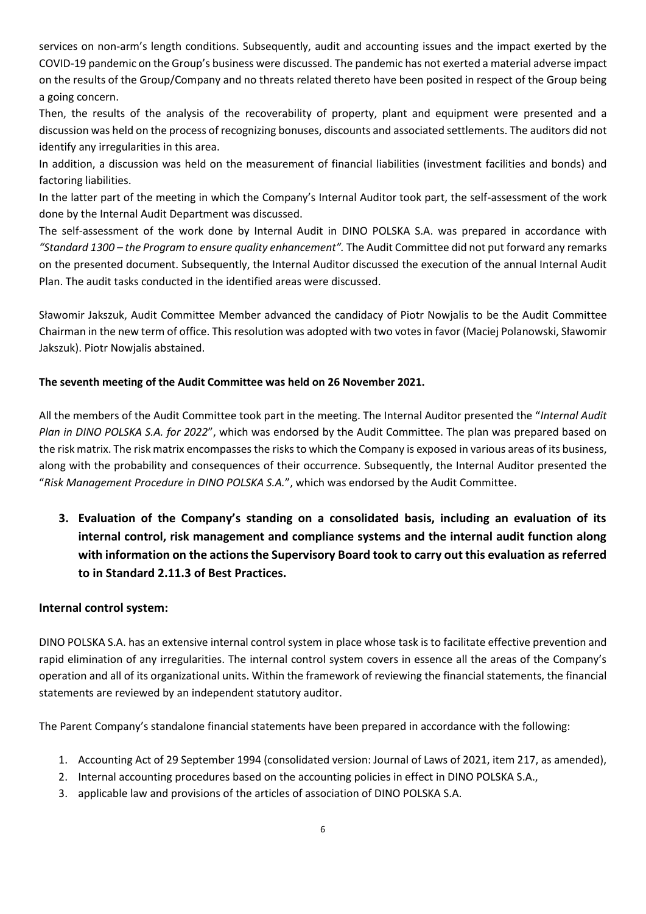services on non-arm's length conditions. Subsequently, audit and accounting issues and the impact exerted by the COVID-19 pandemic on the Group's business were discussed. The pandemic has not exerted a material adverse impact on the results of the Group/Company and no threats related thereto have been posited in respect of the Group being a going concern.

Then, the results of the analysis of the recoverability of property, plant and equipment were presented and a discussion was held on the process of recognizing bonuses, discounts and associated settlements. The auditors did not identify any irregularities in this area.

In addition, a discussion was held on the measurement of financial liabilities (investment facilities and bonds) and factoring liabilities.

In the latter part of the meeting in which the Company's Internal Auditor took part, the self-assessment of the work done by the Internal Audit Department was discussed.

The self-assessment of the work done by Internal Audit in DINO POLSKA S.A. was prepared in accordance with *"Standard 1300 – the Program to ensure quality enhancement".* The Audit Committee did not put forward any remarks on the presented document. Subsequently, the Internal Auditor discussed the execution of the annual Internal Audit Plan. The audit tasks conducted in the identified areas were discussed.

Sławomir Jakszuk, Audit Committee Member advanced the candidacy of Piotr Nowjalis to be the Audit Committee Chairman in the new term of office. This resolution was adopted with two votes in favor (Maciej Polanowski, Sławomir Jakszuk). Piotr Nowjalis abstained.

## **The seventh meeting of the Audit Committee was held on 26 November 2021.**

All the members of the Audit Committee took part in the meeting. The Internal Auditor presented the "*Internal Audit Plan in DINO POLSKA S.A. for 2022*", which was endorsed by the Audit Committee. The plan was prepared based on the risk matrix. The risk matrix encompasses the risks to which the Company is exposed in various areas of its business, along with the probability and consequences of their occurrence. Subsequently, the Internal Auditor presented the "*Risk Management Procedure in DINO POLSKA S.A.*", which was endorsed by the Audit Committee.

**3. Evaluation of the Company's standing on a consolidated basis, including an evaluation of its internal control, risk management and compliance systems and the internal audit function along with information on the actions the Supervisory Board took to carry out this evaluation as referred to in Standard 2.11.3 of Best Practices.** 

## **Internal control system:**

DINO POLSKA S.A. has an extensive internal control system in place whose task is to facilitate effective prevention and rapid elimination of any irregularities. The internal control system covers in essence all the areas of the Company's operation and all of its organizational units. Within the framework of reviewing the financial statements, the financial statements are reviewed by an independent statutory auditor.

The Parent Company's standalone financial statements have been prepared in accordance with the following:

- 1. Accounting Act of 29 September 1994 (consolidated version: Journal of Laws of 2021, item 217, as amended),
- 2. Internal accounting procedures based on the accounting policies in effect in DINO POLSKA S.A.,
- 3. applicable law and provisions of the articles of association of DINO POLSKA S.A.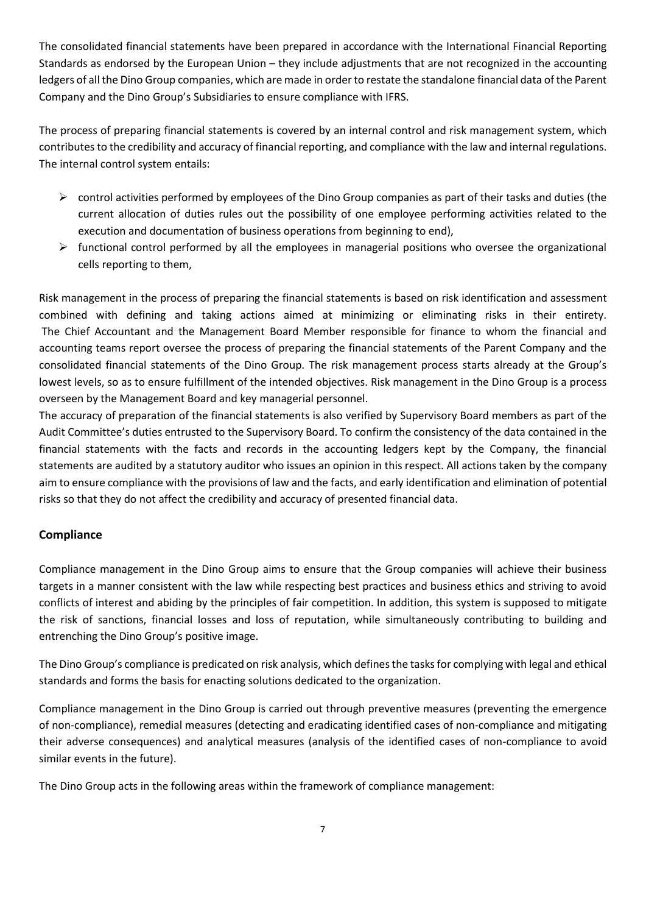The consolidated financial statements have been prepared in accordance with the International Financial Reporting Standards as endorsed by the European Union – they include adjustments that are not recognized in the accounting ledgers of all the Dino Group companies, which are made in order to restate the standalone financial data of the Parent Company and the Dino Group's Subsidiaries to ensure compliance with IFRS.

The process of preparing financial statements is covered by an internal control and risk management system, which contributes to the credibility and accuracy of financial reporting, and compliance with the law and internal regulations. The internal control system entails:

- $\triangleright$  control activities performed by employees of the Dino Group companies as part of their tasks and duties (the current allocation of duties rules out the possibility of one employee performing activities related to the execution and documentation of business operations from beginning to end),
- ➢ functional control performed by all the employees in managerial positions who oversee the organizational cells reporting to them,

Risk management in the process of preparing the financial statements is based on risk identification and assessment combined with defining and taking actions aimed at minimizing or eliminating risks in their entirety. The Chief Accountant and the Management Board Member responsible for finance to whom the financial and accounting teams report oversee the process of preparing the financial statements of the Parent Company and the consolidated financial statements of the Dino Group. The risk management process starts already at the Group's lowest levels, so as to ensure fulfillment of the intended objectives. Risk management in the Dino Group is a process overseen by the Management Board and key managerial personnel.

The accuracy of preparation of the financial statements is also verified by Supervisory Board members as part of the Audit Committee's duties entrusted to the Supervisory Board. To confirm the consistency of the data contained in the financial statements with the facts and records in the accounting ledgers kept by the Company, the financial statements are audited by a statutory auditor who issues an opinion in this respect. All actions taken by the company aim to ensure compliance with the provisions of law and the facts, and early identification and elimination of potential risks so that they do not affect the credibility and accuracy of presented financial data.

## **Compliance**

Compliance management in the Dino Group aims to ensure that the Group companies will achieve their business targets in a manner consistent with the law while respecting best practices and business ethics and striving to avoid conflicts of interest and abiding by the principles of fair competition. In addition, this system is supposed to mitigate the risk of sanctions, financial losses and loss of reputation, while simultaneously contributing to building and entrenching the Dino Group's positive image.

The Dino Group's compliance is predicated on risk analysis, which defines the tasks for complying with legal and ethical standards and forms the basis for enacting solutions dedicated to the organization.

Compliance management in the Dino Group is carried out through preventive measures (preventing the emergence of non-compliance), remedial measures (detecting and eradicating identified cases of non-compliance and mitigating their adverse consequences) and analytical measures (analysis of the identified cases of non-compliance to avoid similar events in the future).

The Dino Group acts in the following areas within the framework of compliance management: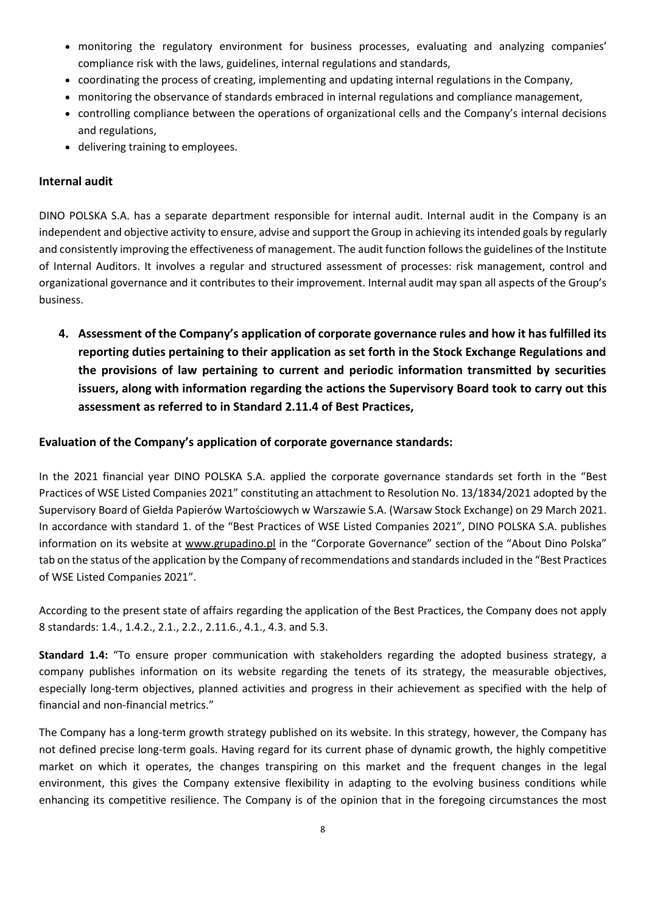- monitoring the regulatory environment for business processes, evaluating and analyzing companies' compliance risk with the laws, guidelines, internal regulations and standards,
- coordinating the process of creating, implementing and updating internal regulations in the Company,
- monitoring the observance of standards embraced in internal regulations and compliance management,
- controlling compliance between the operations of organizational cells and the Company's internal decisions and regulations,
- delivering training to employees.

## **Internal audit**

DINO POLSKA S.A. has a separate department responsible for internal audit. Internal audit in the Company is an independent and objective activity to ensure, advise and support the Group in achieving its intended goals by regularly and consistently improving the effectiveness of management. The audit function follows the guidelines of the Institute of Internal Auditors. It involves a regular and structured assessment of processes: risk management, control and organizational governance and it contributes to their improvement. Internal audit may span all aspects of the Group's business.

**4. Assessment of the Company's application of corporate governance rules and how it has fulfilled its reporting duties pertaining to their application as set forth in the Stock Exchange Regulations and the provisions of law pertaining to current and periodic information transmitted by securities issuers, along with information regarding the actions the Supervisory Board took to carry out this assessment as referred to in Standard 2.11.4 of Best Practices,**

## **Evaluation of the Company's application of corporate governance standards:**

In the 2021 financial year DINO POLSKA S.A. applied the corporate governance standards set forth in the "Best Practices of WSE Listed Companies 2021" constituting an attachment to Resolution No. 13/1834/2021 adopted by the Supervisory Board of Giełda Papierów Wartościowych w Warszawie S.A. (Warsaw Stock Exchange) on 29 March 2021. In accordance with standard 1. of the "Best Practices of WSE Listed Companies 2021", DINO POLSKA S.A. publishes information on its website at www.grupadino.pl in the "Corporate Governance" section of the "About Dino Polska" tab on the status of the application by the Company of recommendations and standards included in the "Best Practices of WSE Listed Companies 2021".

According to the present state of affairs regarding the application of the Best Practices, the Company does not apply 8 standards: 1.4., 1.4.2., 2.1., 2.2., 2.11.6., 4.1., 4.3. and 5.3.

**Standard 1.4:** "To ensure proper communication with stakeholders regarding the adopted business strategy, a company publishes information on its website regarding the tenets of its strategy, the measurable objectives, especially long-term objectives, planned activities and progress in their achievement as specified with the help of financial and non-financial metrics."

The Company has a long-term growth strategy published on its website. In this strategy, however, the Company has not defined precise long-term goals. Having regard for its current phase of dynamic growth, the highly competitive market on which it operates, the changes transpiring on this market and the frequent changes in the legal environment, this gives the Company extensive flexibility in adapting to the evolving business conditions while enhancing its competitive resilience. The Company is of the opinion that in the foregoing circumstances the most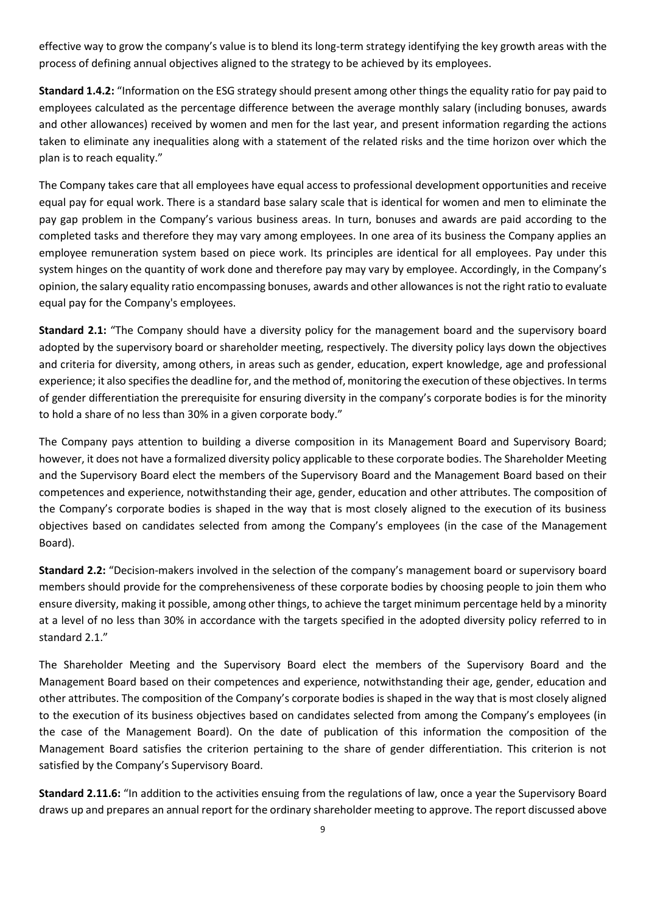effective way to grow the company's value is to blend its long-term strategy identifying the key growth areas with the process of defining annual objectives aligned to the strategy to be achieved by its employees.

**Standard 1.4.2:** "Information on the ESG strategy should present among other things the equality ratio for pay paid to employees calculated as the percentage difference between the average monthly salary (including bonuses, awards and other allowances) received by women and men for the last year, and present information regarding the actions taken to eliminate any inequalities along with a statement of the related risks and the time horizon over which the plan is to reach equality."

The Company takes care that all employees have equal access to professional development opportunities and receive equal pay for equal work. There is a standard base salary scale that is identical for women and men to eliminate the pay gap problem in the Company's various business areas. In turn, bonuses and awards are paid according to the completed tasks and therefore they may vary among employees. In one area of its business the Company applies an employee remuneration system based on piece work. Its principles are identical for all employees. Pay under this system hinges on the quantity of work done and therefore pay may vary by employee. Accordingly, in the Company's opinion, the salary equality ratio encompassing bonuses, awards and other allowances is not the right ratio to evaluate equal pay for the Company's employees.

**Standard 2.1:** "The Company should have a diversity policy for the management board and the supervisory board adopted by the supervisory board or shareholder meeting, respectively. The diversity policy lays down the objectives and criteria for diversity, among others, in areas such as gender, education, expert knowledge, age and professional experience; it also specifies the deadline for, and the method of, monitoring the execution of these objectives. In terms of gender differentiation the prerequisite for ensuring diversity in the company's corporate bodies is for the minority to hold a share of no less than 30% in a given corporate body."

The Company pays attention to building a diverse composition in its Management Board and Supervisory Board; however, it does not have a formalized diversity policy applicable to these corporate bodies. The Shareholder Meeting and the Supervisory Board elect the members of the Supervisory Board and the Management Board based on their competences and experience, notwithstanding their age, gender, education and other attributes. The composition of the Company's corporate bodies is shaped in the way that is most closely aligned to the execution of its business objectives based on candidates selected from among the Company's employees (in the case of the Management Board).

**Standard 2.2:** "Decision-makers involved in the selection of the company's management board or supervisory board members should provide for the comprehensiveness of these corporate bodies by choosing people to join them who ensure diversity, making it possible, among other things, to achieve the target minimum percentage held by a minority at a level of no less than 30% in accordance with the targets specified in the adopted diversity policy referred to in standard 2.1."

The Shareholder Meeting and the Supervisory Board elect the members of the Supervisory Board and the Management Board based on their competences and experience, notwithstanding their age, gender, education and other attributes. The composition of the Company's corporate bodies is shaped in the way that is most closely aligned to the execution of its business objectives based on candidates selected from among the Company's employees (in the case of the Management Board). On the date of publication of this information the composition of the Management Board satisfies the criterion pertaining to the share of gender differentiation. This criterion is not satisfied by the Company's Supervisory Board.

**Standard 2.11.6:** "In addition to the activities ensuing from the regulations of law, once a year the Supervisory Board draws up and prepares an annual report for the ordinary shareholder meeting to approve. The report discussed above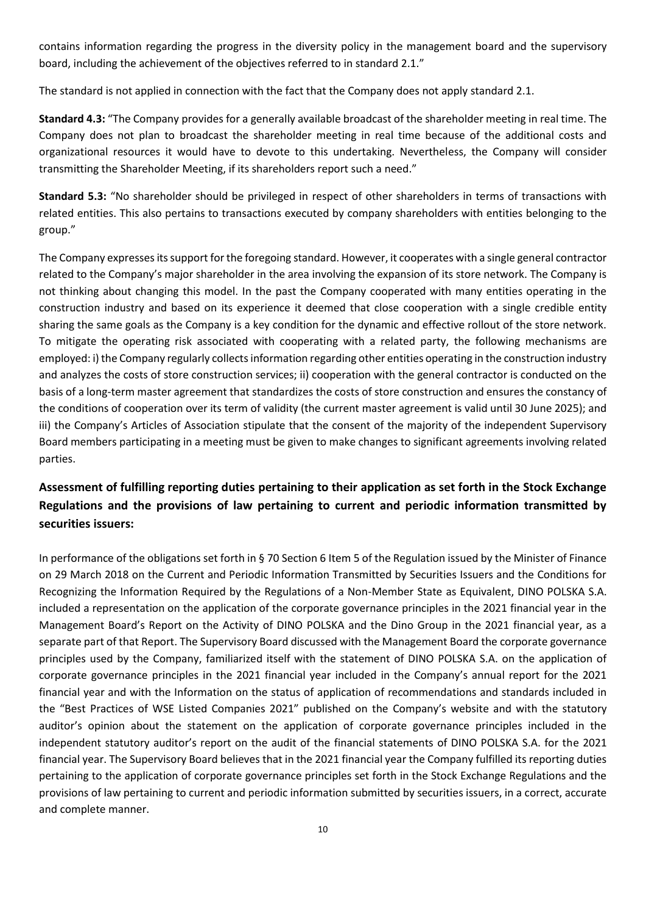contains information regarding the progress in the diversity policy in the management board and the supervisory board, including the achievement of the objectives referred to in standard 2.1."

The standard is not applied in connection with the fact that the Company does not apply standard 2.1.

**Standard 4.3:** "The Company provides for a generally available broadcast of the shareholder meeting in real time. The Company does not plan to broadcast the shareholder meeting in real time because of the additional costs and organizational resources it would have to devote to this undertaking. Nevertheless, the Company will consider transmitting the Shareholder Meeting, if its shareholders report such a need."

**Standard 5.3:** "No shareholder should be privileged in respect of other shareholders in terms of transactions with related entities. This also pertains to transactions executed by company shareholders with entities belonging to the group."

The Company expresses its support for the foregoing standard. However, it cooperates with a single general contractor related to the Company's major shareholder in the area involving the expansion of its store network. The Company is not thinking about changing this model. In the past the Company cooperated with many entities operating in the construction industry and based on its experience it deemed that close cooperation with a single credible entity sharing the same goals as the Company is a key condition for the dynamic and effective rollout of the store network. To mitigate the operating risk associated with cooperating with a related party, the following mechanisms are employed: i) the Company regularly collects information regarding other entities operating in the construction industry and analyzes the costs of store construction services; ii) cooperation with the general contractor is conducted on the basis of a long-term master agreement that standardizes the costs of store construction and ensures the constancy of the conditions of cooperation over its term of validity (the current master agreement is valid until 30 June 2025); and iii) the Company's Articles of Association stipulate that the consent of the majority of the independent Supervisory Board members participating in a meeting must be given to make changes to significant agreements involving related parties.

# **Assessment of fulfilling reporting duties pertaining to their application as set forth in the Stock Exchange Regulations and the provisions of law pertaining to current and periodic information transmitted by securities issuers:**

In performance of the obligations set forth in § 70 Section 6 Item 5 of the Regulation issued by the Minister of Finance on 29 March 2018 on the Current and Periodic Information Transmitted by Securities Issuers and the Conditions for Recognizing the Information Required by the Regulations of a Non-Member State as Equivalent, DINO POLSKA S.A. included a representation on the application of the corporate governance principles in the 2021 financial year in the Management Board's Report on the Activity of DINO POLSKA and the Dino Group in the 2021 financial year, as a separate part of that Report. The Supervisory Board discussed with the Management Board the corporate governance principles used by the Company, familiarized itself with the statement of DINO POLSKA S.A. on the application of corporate governance principles in the 2021 financial year included in the Company's annual report for the 2021 financial year and with the Information on the status of application of recommendations and standards included in the "Best Practices of WSE Listed Companies 2021" published on the Company's website and with the statutory auditor's opinion about the statement on the application of corporate governance principles included in the independent statutory auditor's report on the audit of the financial statements of DINO POLSKA S.A. for the 2021 financial year. The Supervisory Board believes that in the 2021 financial year the Company fulfilled its reporting duties pertaining to the application of corporate governance principles set forth in the Stock Exchange Regulations and the provisions of law pertaining to current and periodic information submitted by securities issuers, in a correct, accurate and complete manner.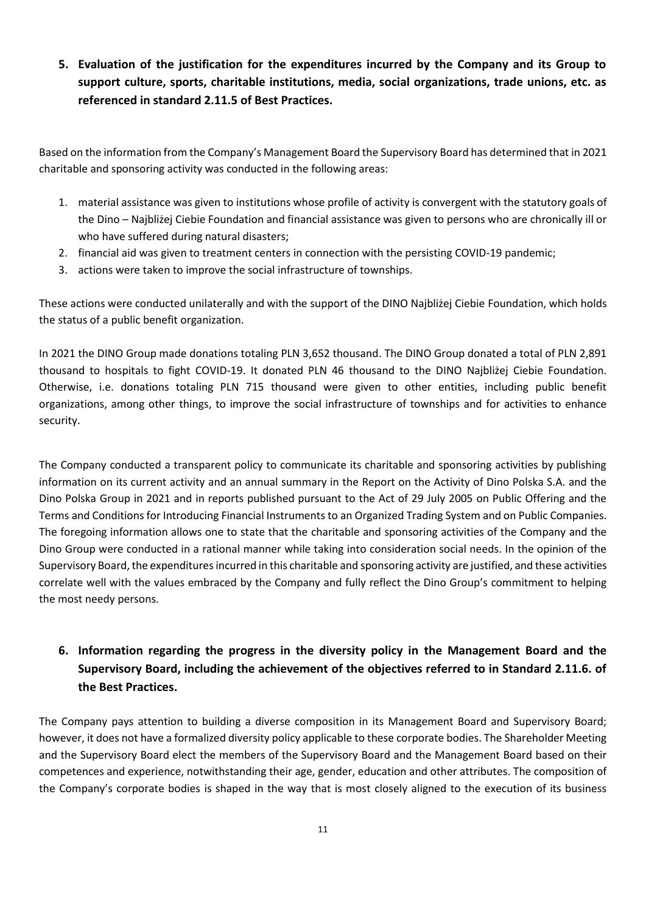**5. Evaluation of the justification for the expenditures incurred by the Company and its Group to support culture, sports, charitable institutions, media, social organizations, trade unions, etc. as referenced in standard 2.11.5 of Best Practices.**

Based on the information from the Company's Management Board the Supervisory Board has determined that in 2021 charitable and sponsoring activity was conducted in the following areas:

- 1. material assistance was given to institutions whose profile of activity is convergent with the statutory goals of the Dino – Najbliżej Ciebie Foundation and financial assistance was given to persons who are chronically ill or who have suffered during natural disasters;
- 2. financial aid was given to treatment centers in connection with the persisting COVID-19 pandemic;
- 3. actions were taken to improve the social infrastructure of townships.

These actions were conducted unilaterally and with the support of the DINO Najbliżej Ciebie Foundation, which holds the status of a public benefit organization.

In 2021 the DINO Group made donations totaling PLN 3,652 thousand. The DINO Group donated a total of PLN 2,891 thousand to hospitals to fight COVID-19. It donated PLN 46 thousand to the DINO Najbliżej Ciebie Foundation. Otherwise, i.e. donations totaling PLN 715 thousand were given to other entities, including public benefit organizations, among other things, to improve the social infrastructure of townships and for activities to enhance security.

The Company conducted a transparent policy to communicate its charitable and sponsoring activities by publishing information on its current activity and an annual summary in the Report on the Activity of Dino Polska S.A. and the Dino Polska Group in 2021 and in reports published pursuant to the Act of 29 July 2005 on Public Offering and the Terms and Conditions for Introducing Financial Instruments to an Organized Trading System and on Public Companies. The foregoing information allows one to state that the charitable and sponsoring activities of the Company and the Dino Group were conducted in a rational manner while taking into consideration social needs. In the opinion of the Supervisory Board, the expenditures incurred in this charitable and sponsoring activity are justified, and these activities correlate well with the values embraced by the Company and fully reflect the Dino Group's commitment to helping the most needy persons.

# **6. Information regarding the progress in the diversity policy in the Management Board and the Supervisory Board, including the achievement of the objectives referred to in Standard 2.11.6. of the Best Practices.**

The Company pays attention to building a diverse composition in its Management Board and Supervisory Board; however, it does not have a formalized diversity policy applicable to these corporate bodies. The Shareholder Meeting and the Supervisory Board elect the members of the Supervisory Board and the Management Board based on their competences and experience, notwithstanding their age, gender, education and other attributes. The composition of the Company's corporate bodies is shaped in the way that is most closely aligned to the execution of its business